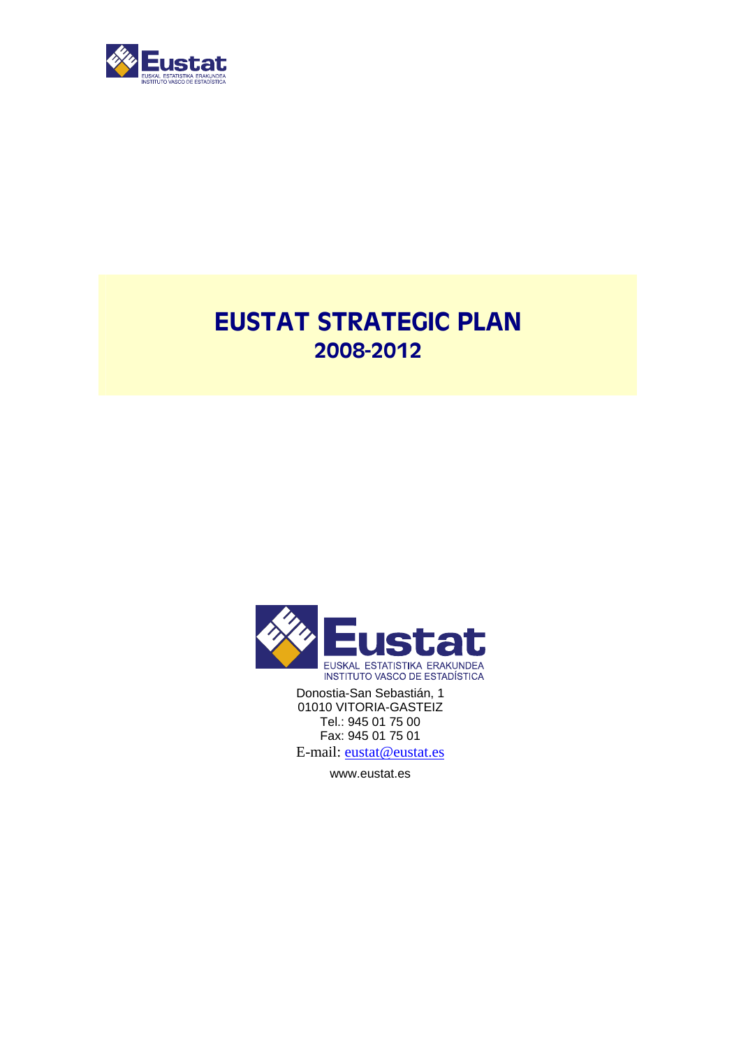

## EUSTAT STRATEGIC PLAN 2008-2012



Donostia-San Sebastián, 1 01010 VITORIA-GASTEIZ Tel.: 945 01 75 00 Fax: 945 01 75 01 E-mail: eustat@eustat.es

www.eustat.es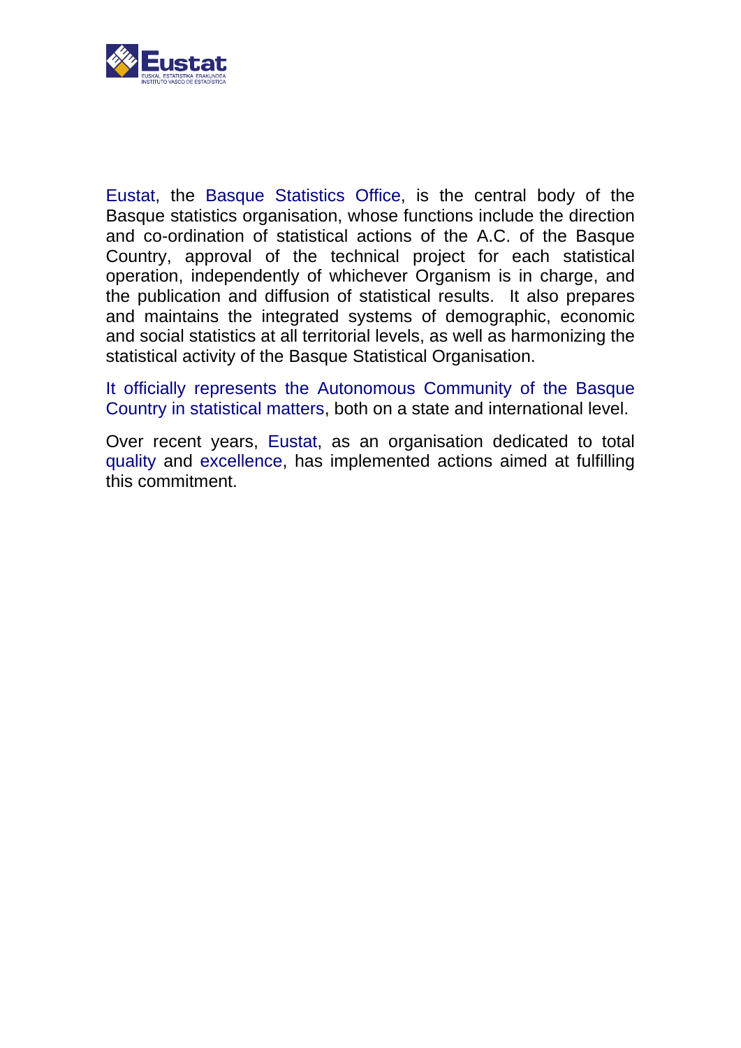

Eustat, the Basque Statistics Office, is the central body of the Basque statistics organisation, whose functions include the direction and co-ordination of statistical actions of the A.C. of the Basque Country, approval of the technical project for each statistical operation, independently of whichever Organism is in charge, and the publication and diffusion of statistical results. It also prepares and maintains the integrated systems of demographic, economic and social statistics at all territorial levels, as well as harmonizing the statistical activity of the Basque Statistical Organisation.

It officially represents the Autonomous Community of the Basque Country in statistical matters, both on a state and international level.

Over recent years, Eustat, as an organisation dedicated to total quality and excellence, has implemented actions aimed at fulfilling this commitment.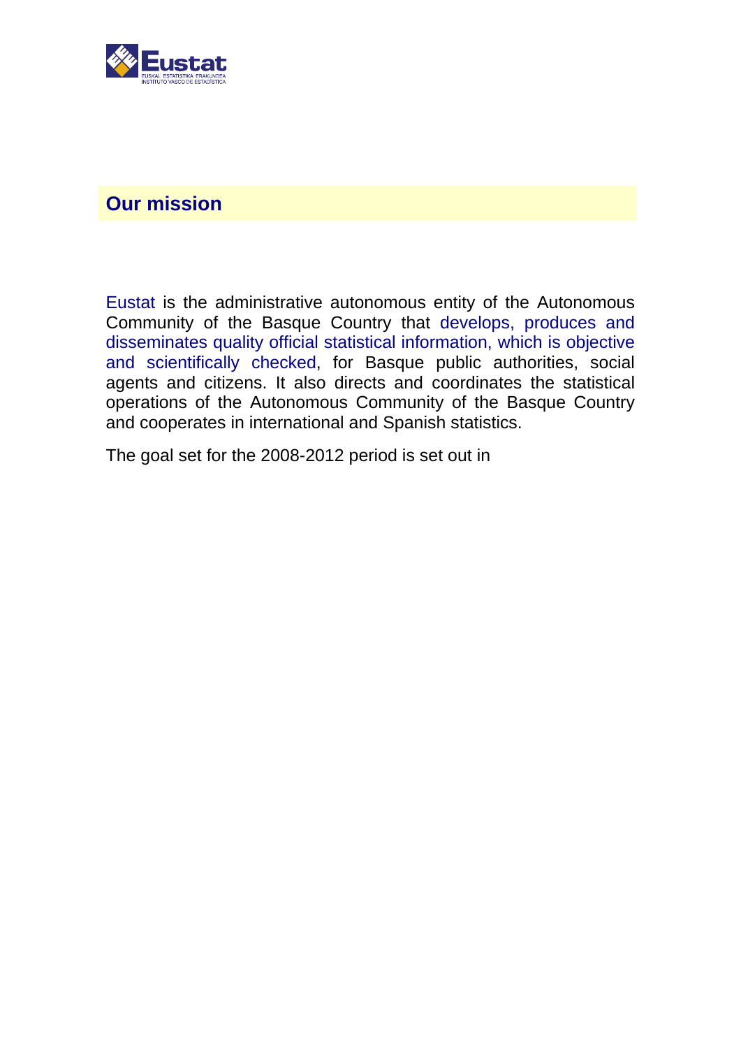

## **Our mission**

Eustat is the administrative autonomous entity of the Autonomous Community of the Basque Country that develops, produces and disseminates quality official statistical information, which is objective and scientifically checked, for Basque public authorities, social agents and citizens. It also directs and coordinates the statistical operations of the Autonomous Community of the Basque Country and cooperates in international and Spanish statistics.

The goal set for the 2008-2012 period is set out in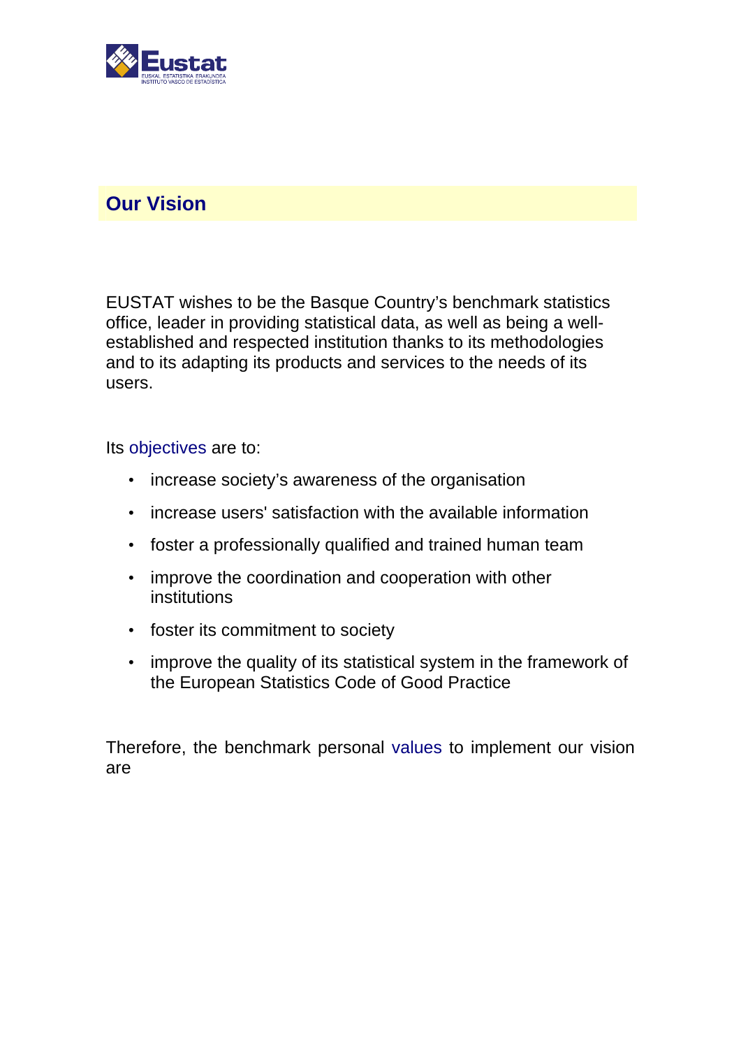

## **Our Vision**

EUSTAT wishes to be the Basque Country's benchmark statistics office, leader in providing statistical data, as well as being a wellestablished and respected institution thanks to its methodologies and to its adapting its products and services to the needs of its users.

Its objectives are to:

- increase society's awareness of the organisation
- increase users' satisfaction with the available information
- foster a professionally qualified and trained human team
- improve the coordination and cooperation with other institutions
- foster its commitment to society
- improve the quality of its statistical system in the framework of the European Statistics Code of Good Practice

Therefore, the benchmark personal values to implement our vision are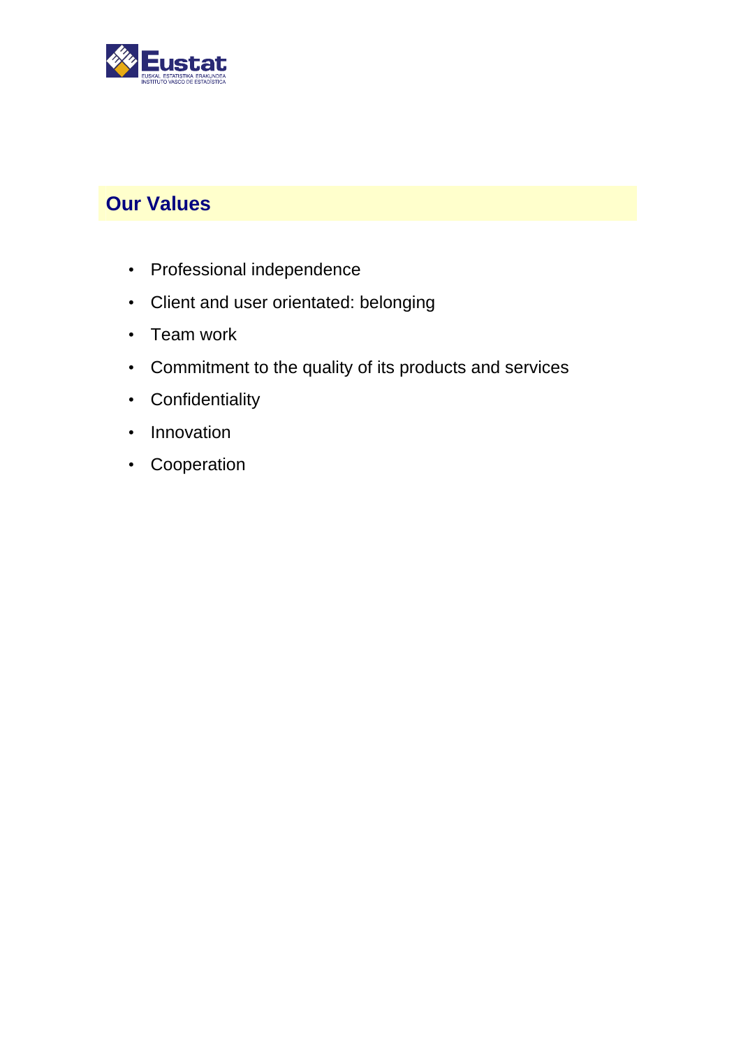

## **Our Values**

- Professional independence
- Client and user orientated: belonging
- Team work
- Commitment to the quality of its products and services
- Confidentiality
- Innovation
- Cooperation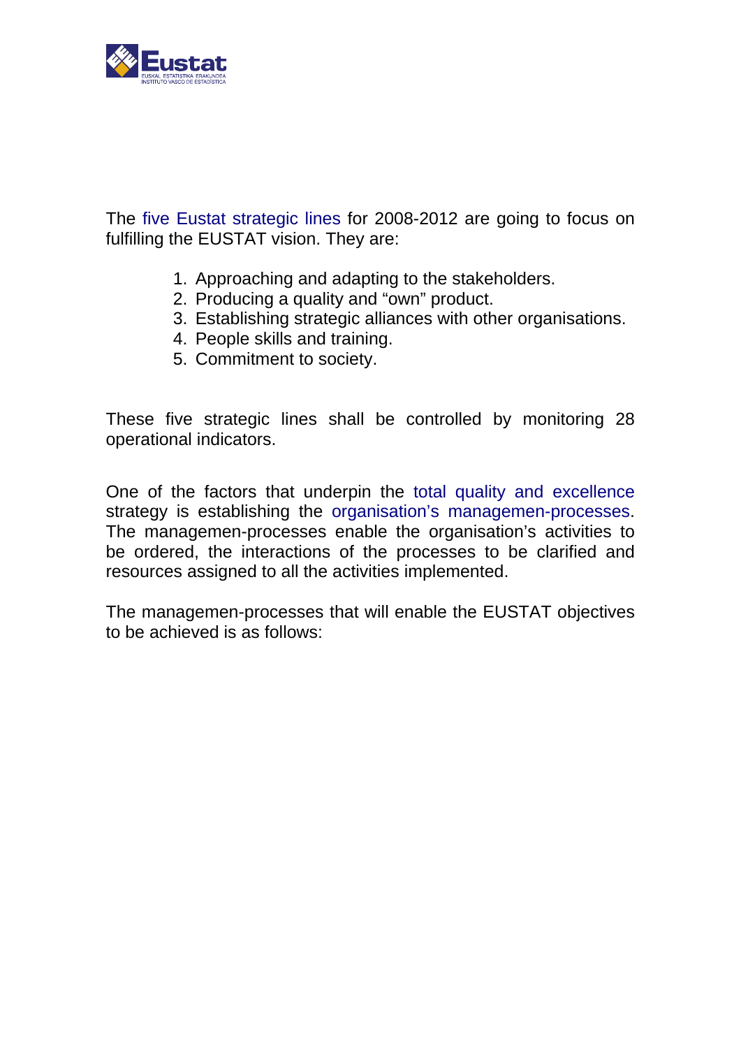

The five Eustat strategic lines for 2008-2012 are going to focus on fulfilling the EUSTAT vision. They are:

- 1. Approaching and adapting to the stakeholders.
- 2. Producing a quality and "own" product.
- 3. Establishing strategic alliances with other organisations.
- 4. People skills and training.
- 5. Commitment to society.

These five strategic lines shall be controlled by monitoring 28 operational indicators.

One of the factors that underpin the total quality and excellence strategy is establishing the organisation's managemen-processes. The managemen-processes enable the organisation's activities to be ordered, the interactions of the processes to be clarified and resources assigned to all the activities implemented.

The managemen-processes that will enable the EUSTAT objectives to be achieved is as follows: